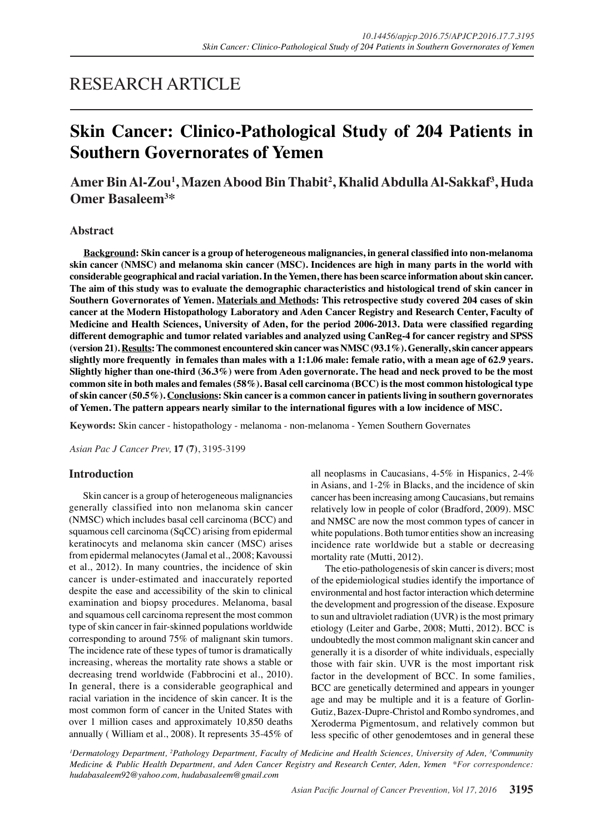# RESEARCH ARTICLE

# **Skin Cancer: Clinico-Pathological Study of 204 Patients in Southern Governorates of Yemen**

# **Amer Bin Al-Zou<sup>1</sup> , Mazen Abood Bin Thabit2 , Khalid Abdulla Al-Sakkaf<sup>3</sup> , Huda Omer Basaleem3 \***

#### **Abstract**

**Background: Skin cancer is a group of heterogeneous malignancies, in general classified into non-melanoma skin cancer (NMSC) and melanoma skin cancer (MSC). Incidences are high in many parts in the world with considerable geographical and racial variation. In the Yemen, there has been scarce information about skin cancer. The aim of this study was to evaluate the demographic characteristics and histological trend of skin cancer in Southern Governorates of Yemen. Materials and Methods: This retrospective study covered 204 cases of skin cancer at the Modern Histopathology Laboratory and Aden Cancer Registry and Research Center, Faculty of Medicine and Health Sciences, University of Aden, for the period 2006-2013. Data were classified regarding different demographic and tumor related variables and analyzed using CanReg-4 for cancer registry and SPSS (version 21). Results: The commonest encountered skin cancer was NMSC (93.1%). Generally, skin cancer appears slightly more frequently in females than males with a 1:1.06 male: female ratio, with a mean age of 62.9 years. Slightly higher than one-third (36.3%) were from Aden governorate. The head and neck proved to be the most common site in both males and females (58%). Basal cell carcinoma (BCC) is the most common histological type of skin cancer (50.5%). Conclusions: Skin cancer is a common cancer in patients living in southern governorates of Yemen. The pattern appears nearly similar to the international figures with a low incidence of MSC.**

**Keywords:** Skin cancer - histopathology - melanoma - non-melanoma - Yemen Southern Governates

*Asian Pac J Cancer Prev,* **17 (7)**, 3195-3199

#### **Introduction**

Skin cancer is a group of heterogeneous malignancies generally classified into non melanoma skin cancer (NMSC) which includes basal cell carcinoma (BCC) and squamous cell carcinoma (SqCC) arising from epidermal keratinocyts and melanoma skin cancer (MSC) arises from epidermal melanocytes (Jamal et al., 2008; Kavoussi et al., 2012). In many countries, the incidence of skin cancer is under-estimated and inaccurately reported despite the ease and accessibility of the skin to clinical examination and biopsy procedures. Melanoma, basal and squamous cell carcinoma represent the most common type of skin cancer in fair-skinned populations worldwide corresponding to around 75% of malignant skin tumors. The incidence rate of these types of tumor is dramatically increasing, whereas the mortality rate shows a stable or decreasing trend worldwide (Fabbrocini et al., 2010). In general, there is a considerable geographical and racial variation in the incidence of skin cancer. It is the most common form of cancer in the United States with over 1 million cases and approximately 10,850 deaths annually ( William et al., 2008). It represents 35-45% of

all neoplasms in Caucasians, 4-5% in Hispanics, 2-4% in Asians, and 1-2% in Blacks, and the incidence of skin cancer has been increasing among Caucasians, but remains relatively low in people of color (Bradford, 2009). MSC and NMSC are now the most common types of cancer in white populations. Both tumor entities show an increasing incidence rate worldwide but a stable or decreasing mortality rate (Mutti, 2012).

The etio-pathologenesis of skin cancer is divers; most of the epidemiological studies identify the importance of environmental and host factor interaction which determine the development and progression of the disease. Exposure to sun and ultraviolet radiation (UVR) is the most primary etiology (Leiter and Garbe, 2008; Mutti, 2012). BCC is undoubtedly the most common malignant skin cancer and generally it is a disorder of white individuals, especially those with fair skin. UVR is the most important risk factor in the development of BCC. In some families, BCC are genetically determined and appears in younger age and may be multiple and it is a feature of Gorlin-Gutiz, Bazex-Dupre-Christol and Rombo syndromes, and Xeroderma Pigmentosum, and relatively common but less specific of other genodemtoses and in general these

<sup>*I*</sup>Dermatology Department, <sup>2</sup>Pathology Department, Faculty of Medicine and Health Sciences, University of Aden, <sup>3</sup>Community *Medicine & Public Health Department, and Aden Cancer Registry and Research Center, Aden, Yemen \*For correspondence: hudabasaleem92@yahoo.com, hudabasaleem@gmail.com*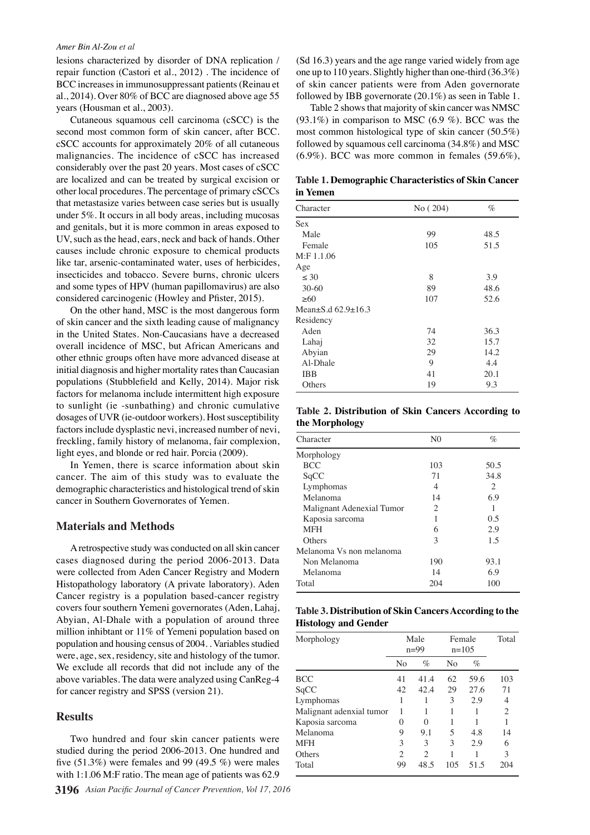#### *Amer Bin Al-Zou et al*

lesions characterized by disorder of DNA replication / repair function (Castori et al., 2012) . The incidence of BCC increases in immunosuppressant patients (Reinau et al., 2014). Over 80% of BCC are diagnosed above age 55 years (Housman et al., 2003).

Cutaneous squamous cell carcinoma (cSCC) is the second most common form of skin cancer, after BCC. cSCC accounts for approximately 20% of all cutaneous malignancies. The incidence of cSCC has increased considerably over the past 20 years. Most cases of cSCC are localized and can be treated by surgical excision or other local procedures. The percentage of primary cSCCs that metastasize varies between case series but is usually under 5%. It occurs in all body areas, including mucosas and genitals, but it is more common in areas exposed to UV, such as the head, ears, neck and back of hands. Other causes include chronic exposure to chemical products like tar, arsenic-contaminated water, uses of herbicides, insecticides and tobacco. Severe burns, chronic ulcers and some types of HPV (human papillomavirus) are also considered carcinogenic (Howley and Pfister, 2015).

On the other hand, MSC is the most dangerous form of skin cancer and the sixth leading cause of malignancy in the United States. Non-Caucasians have a decreased overall incidence of MSC, but African Americans and other ethnic groups often have more advanced disease at initial diagnosis and higher mortality rates than Caucasian populations (Stubblefield and Kelly, 2014). Major risk factors for melanoma include intermittent high exposure to sunlight (ie -sunbathing) and chronic cumulative dosages of UVR (ie-outdoor workers). Host susceptibility factors include dysplastic nevi, increased number of nevi, freckling, family history of melanoma, fair complexion, light eyes, and blonde or red hair. Porcia (2009).

In Yemen, there is scarce information about skin cancer. The aim of this study was to evaluate the demographic characteristics and histological trend of skin cancer in Southern Governorates of Yemen.

### **Materials and Methods**

A retrospective study was conducted on all skin cancer cases diagnosed during the period 2006-2013. Data were collected from Aden Cancer Registry and Modern Histopathology laboratory (A private laboratory). Aden Cancer registry is a population based-cancer registry covers four southern Yemeni governorates (Aden, Lahaj, Abyian, Al-Dhale with a population of around three million inhibtant or 11% of Yemeni population based on population and housing census of 2004. . Variables studied were, age, sex, residency, site and histology of the tumor. We exclude all records that did not include any of the above variables. The data were analyzed using CanReg-4 for cancer registry and SPSS (version 21).

### **Results**

Two hundred and four skin cancer patients were studied during the period 2006-2013. One hundred and five  $(51.3\%)$  were females and 99 (49.5 %) were males with 1:1.06 M:F ratio. The mean age of patients was 62.9

(Sd 16.3) years and the age range varied widely from age one up to 110 years. Slightly higher than one-third (36.3%) of skin cancer patients were from Aden governorate followed by IBB governorate (20.1%) as seen in Table 1.

Table 2 shows that majority of skin cancer was NMSC (93.1%) in comparison to MSC (6.9 %). BCC was the most common histological type of skin cancer (50.5%) followed by squamous cell carcinoma (34.8%) and MSC (6.9%). BCC was more common in females (59.6%),

**Table 1. Demographic Characteristics of Skin Cancer in Yemen**

| Character                      | No (204) | $\%$ |
|--------------------------------|----------|------|
| Sex                            |          |      |
| Male                           | 99       | 48.5 |
| Female                         | 105      | 51.5 |
| $M:$ F 1.1.06                  |          |      |
| Age                            |          |      |
| $\leq 30$                      | 8        | 3.9  |
| $30 - 60$                      | 89       | 48.6 |
| >60                            | 107      | 52.6 |
| Mean $\pm$ S.d 62.9 $\pm$ 16.3 |          |      |
| Residency                      |          |      |
| Aden                           | 74       | 36.3 |
| Lahaj                          | 32       | 15.7 |
| Abyian                         | 29       | 14.2 |
| Al-Dhale                       | 9        | 4.4  |
| <b>IBB</b>                     | 41       | 20.1 |
| Others                         | 19       | 9.3  |

**Table 2. Distribution of Skin Cancers According to the Morphology**

| Character                 | N <sub>0</sub> | $\%$           |
|---------------------------|----------------|----------------|
|                           |                |                |
| Morphology                |                |                |
| <b>BCC</b>                | 103            | 50.5           |
| SqCC                      | 71             | 34.8           |
| Lymphomas                 | 4              | $\overline{c}$ |
| Melanoma                  | 14             | 6.9            |
| Malignant Adenexial Tumor | $\overline{c}$ | 1              |
| Kaposia sarcoma           |                | 0.5            |
| <b>MFH</b>                | 6              | 2.9            |
| Others                    | 3              | 1.5            |
| Melanoma Vs non melanoma  |                |                |
| Non Melanoma              | 190            | 93.1           |
| Melanoma                  | 14             | 6.9            |
| Total                     | 204            | 100            |
|                           |                |                |

**Table 3. Distribution of Skin Cancers According to the Histology and Gender**

| Morphology               | Male<br>$n=99$ |                             | Female<br>$n=105$ |      | Total          |
|--------------------------|----------------|-----------------------------|-------------------|------|----------------|
|                          | No             | $\%$                        | N <sub>0</sub>    | $\%$ |                |
| BCC                      | 41             | 41.4                        | 62                | 59.6 | 103            |
| SqCC                     | 42             | 42.4                        | 29                | 27.6 | 71             |
| Lymphomas                |                |                             | 3                 | 2.9  | 4              |
| Malignant adenxial tumor |                |                             | 1                 |      | $\overline{2}$ |
| Kaposia sarcoma          | $\mathbf{0}$   | 0                           |                   |      | 1              |
| Melanoma                 | 9              | 9.1                         | 5                 | 4.8  | 14             |
| <b>MFH</b>               | 3              | 3                           | 3                 | 2.9  | 6              |
| Others                   | $\overline{c}$ | $\mathcal{D}_{\mathcal{L}}$ | 1                 |      | 3              |
| Total                    | 99             | 48.5                        | 105               | 51.5 | 204            |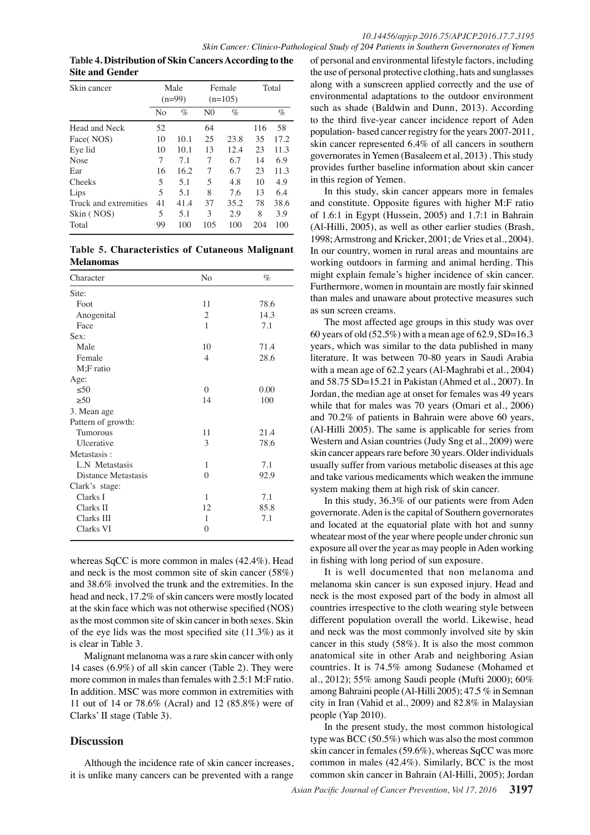**Table 4. Distribution of Skin Cancers According to the Site and Gender**

| Skin cancer           |                          | Male<br>$(n=99)$ |                | Female<br>$(n=105)$ |     | Total |
|-----------------------|--------------------------|------------------|----------------|---------------------|-----|-------|
|                       | No                       | $\%$             | N <sub>0</sub> | $\%$                |     | $\%$  |
| Head and Neck         | 52                       |                  | 64             |                     | 116 | 58    |
| Face(NOS)             | 10                       | 10.1             | 25             | 23.8                | 35  | 17.2  |
| Eye lid               | 10                       | 10.1             | 13             | 12.4                | 23  | 11.3  |
| <b>Nose</b>           | 7                        | 7.1              | 7              | 6.7                 | 14  | 6.9   |
| Ear                   | 16                       | 16.2             | 7              | 6.7                 | 23  | 11.3  |
| Cheeks                | 5                        | 5.1              | 5              | 4.8                 | 10  | 4.9   |
| Lips                  | $\overline{\phantom{0}}$ | 5.1              | 8              | 7.6                 | 13  | 6.4   |
| Truck and extremities | 41                       | 41.4             | 37             | 35.2                | 78  | 38.6  |
| Skin (NOS)            | 5                        | 5.1              | 3              | 2.9                 | 8   | 3.9   |
| Total                 | 99                       | 100              | 105            | 100                 | 204 | 100   |

**Table 5. Characteristics of Cutaneous Malignant Melanomas**

| Character           | No       | $\%$ |
|---------------------|----------|------|
| Site:               |          |      |
| Foot                | 11       | 78.6 |
| Anogenital          | 2        | 14.3 |
| Face                | 1        | 7.1  |
| Sex:                |          |      |
| Male                | 10       | 71.4 |
| Female              | 4        | 28.6 |
| $M$ ; $F$ ratio     |          |      |
| Age:                |          |      |
| < 50                | $\theta$ | 0.00 |
| > 50                | 14       | 100  |
| 3. Mean age         |          |      |
| Pattern of growth:  |          |      |
| <b>Tumorous</b>     | 11       | 21.4 |
| Ulcerative          | 3        | 78.6 |
| Metastasis:         |          |      |
| L.N Metastasis      | 1        | 7.1  |
| Distance Metastasis | 0        | 92.9 |
| Clark's stage:      |          |      |
| Clarks I            | 1        | 7.1  |
| Clarks II           | 12       | 85.8 |
| Clarks III          | 1        | 7.1  |
| Clarks VI           | $\theta$ |      |

whereas SqCC is more common in males (42.4%). Head and neck is the most common site of skin cancer (58%) and 38.6% involved the trunk and the extremities. In the head and neck, 17.2% of skin cancers were mostly located at the skin face which was not otherwise specified (NOS) as the most common site of skin cancer in both sexes. Skin of the eye lids was the most specified site (11.3%) as it is clear in Table 3.

Malignant melanoma was a rare skin cancer with only 14 cases (6.9%) of all skin cancer (Table 2). They were more common in males than females with 2.5:1 M:F ratio. In addition. MSC was more common in extremities with 11 out of 14 or 78.6% (Acral) and 12 (85.8%) were of Clarks' II stage (Table 3).

## **Discussion**

Although the incidence rate of skin cancer increases, it is unlike many cancers can be prevented with a range of personal and environmental lifestyle factors, including the use of personal protective clothing, hats and sunglasses along with a sunscreen applied correctly and the use of environmental adaptations to the outdoor environment such as shade (Baldwin and Dunn, 2013). According to the third five-year cancer incidence report of Aden population- based cancer registry for the years 2007-2011, skin cancer represented 6.4% of all cancers in southern governorates in Yemen (Basaleem et al, 2013) . This study provides further baseline information about skin cancer in this region of Yemen.

In this study, skin cancer appears more in females and constitute. Opposite figures with higher M:F ratio of 1.6:1 in Egypt (Hussein, 2005) and 1.7:1 in Bahrain (Al-Hilli, 2005), as well as other earlier studies (Brash, 1998; Armstrong and Kricker, 2001; de Vries et al., 2004). In our country, women in rural areas and mountains are working outdoors in farming and animal herding. This might explain female's higher incidence of skin cancer. Furthermore, women in mountain are mostly fair skinned than males and unaware about protective measures such as sun screen creams.

The most affected age groups in this study was over 60 years of old (52.5%) with a mean age of 62.9, SD=16.3 years, which was similar to the data published in many literature. It was between 70-80 years in Saudi Arabia with a mean age of 62.2 years (Al-Maghrabi et al., 2004) and 58.75 SD=15.21 in Pakistan (Ahmed et al., 2007). In Jordan, the median age at onset for females was 49 years while that for males was 70 years (Omari et al., 2006) and 70.2% of patients in Bahrain were above 60 years, (Al-Hilli 2005). The same is applicable for series from Western and Asian countries (Judy Sng et al., 2009) were skin cancer appears rare before 30 years. Older individuals usually suffer from various metabolic diseases at this age and take various medicaments which weaken the immune system making them at high risk of skin cancer.

In this study, 36.3% of our patients were from Aden governorate. Aden is the capital of Southern governorates and located at the equatorial plate with hot and sunny wheatear most of the year where people under chronic sun exposure all over the year as may people in Aden working in fishing with long period of sun exposure.

It is well documented that non melanoma and melanoma skin cancer is sun exposed injury. Head and neck is the most exposed part of the body in almost all countries irrespective to the cloth wearing style between different population overall the world. Likewise, head and neck was the most commonly involved site by skin cancer in this study (58%). It is also the most common anatomical site in other Arab and neighboring Asian countries. It is 74.5% among Sudanese (Mohamed et al., 2012); 55% among Saudi people (Mufti 2000); 60% among Bahraini people (Al-Hilli 2005); 47.5 % in Semnan city in Iran (Vahid et al., 2009) and 82.8% in Malaysian people (Yap 2010).

In the present study, the most common histological type was BCC (50.5%) which was also the most common skin cancer in females (59.6%), whereas SqCC was more common in males (42.4%). Similarly, BCC is the most common skin cancer in Bahrain (Al-Hilli, 2005); Jordan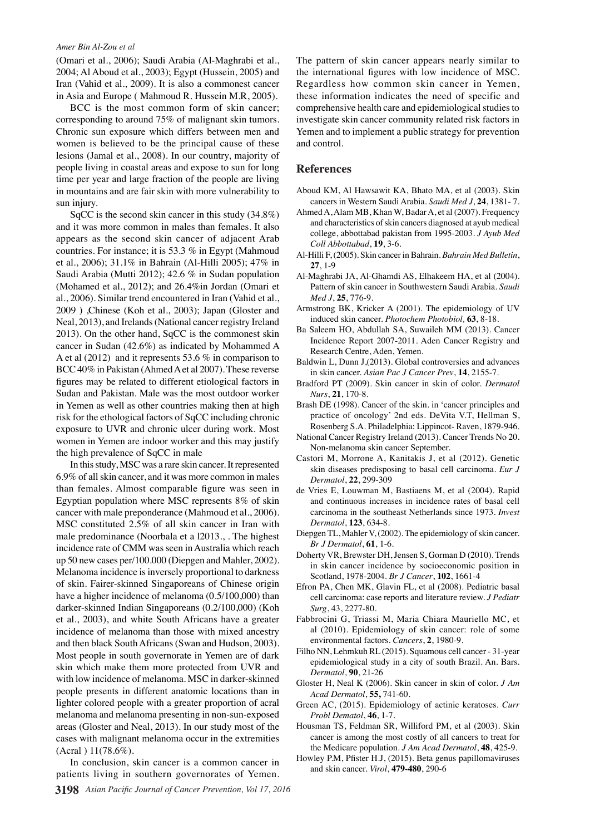#### *Amer Bin Al-Zou et al*

(Omari et al., 2006); Saudi Arabia (Al-Maghrabi et al., 2004; Al Aboud et al., 2003); Egypt (Hussein, 2005) and Iran (Vahid et al., 2009). It is also a commonest cancer in Asia and Europe ( Mahmoud R. Hussein M.R, 2005).

BCC is the most common form of skin cancer; corresponding to around 75% of malignant skin tumors. Chronic sun exposure which differs between men and women is believed to be the principal cause of these lesions (Jamal et al., 2008). In our country, majority of people living in coastal areas and expose to sun for long time per year and large fraction of the people are living in mountains and are fair skin with more vulnerability to sun injury.

SqCC is the second skin cancer in this study (34.8%) and it was more common in males than females. It also appears as the second skin cancer of adjacent Arab countries. For instance; it is 53.3 % in Egypt (Mahmoud et al., 2006); 31.1% in Bahrain (Al-Hilli 2005); 47% in Saudi Arabia (Mutti 2012); 42.6 % in Sudan population (Mohamed et al., 2012); and 26.4%in Jordan (Omari et al., 2006). Similar trend encountered in Iran (Vahid et al., 2009 ) ,Chinese (Koh et al., 2003); Japan (Gloster and Neal, 2013), and Irelands (National cancer registry Ireland 2013). On the other hand, SqCC is the commonest skin cancer in Sudan (42.6%) as indicated by Mohammed A A et al (2012) and it represents 53.6 % in comparison to BCC 40% in Pakistan (Ahmed A et al 2007). These reverse figures may be related to different etiological factors in Sudan and Pakistan. Male was the most outdoor worker in Yemen as well as other countries making then at high risk for the ethological factors of SqCC including chronic exposure to UVR and chronic ulcer during work. Most women in Yemen are indoor worker and this may justify the high prevalence of SqCC in male

In this study, MSC was a rare skin cancer. It represented 6.9% of all skin cancer, and it was more common in males than females. Almost comparable figure was seen in Egyptian population where MSC represents 8% of skin cancer with male preponderance (Mahmoud et al., 2006). MSC constituted 2.5% of all skin cancer in Iran with male predominance (Noorbala et a l2013., . The highest incidence rate of CMM was seen in Australia which reach up 50 new cases per/100.000 (Diepgen and Mahler, 2002). Melanoma incidence is inversely proportional to darkness of skin. Fairer-skinned Singaporeans of Chinese origin have a higher incidence of melanoma (0.5/100,000) than darker-skinned Indian Singaporeans (0.2/100,000) (Koh et al., 2003), and white South Africans have a greater incidence of melanoma than those with mixed ancestry and then black South Africans (Swan and Hudson, 2003). Most people in south governorate in Yemen are of dark skin which make them more protected from UVR and with low incidence of melanoma. MSC in darker-skinned people presents in different anatomic locations than in lighter colored people with a greater proportion of acral melanoma and melanoma presenting in non-sun-exposed areas (Gloster and Neal, 2013). In our study most of the cases with malignant melanoma occur in the extremities (Acral ) 11(78.6%).

In conclusion, skin cancer is a common cancer in patients living in southern governorates of Yemen.

The pattern of skin cancer appears nearly similar to the international figures with low incidence of MSC. Regardless how common skin cancer in Yemen, these information indicates the need of specific and comprehensive health care and epidemiological studies to investigate skin cancer community related risk factors in Yemen and to implement a public strategy for prevention and control.

#### **References**

- Aboud KM, Al Hawsawit KA, Bhato MA, et al (2003). Skin cancers in Western Saudi Arabia. *Saudi Med J*, **24**, 1381- 7.
- Ahmed A, Alam MB, Khan W, Badar A, et al (2007). Frequency and characteristics of skin cancers diagnosed at ayub medical college, abbottabad pakistan from 1995-2003. *J Ayub Med Coll Abbottabad*, **19**, 3-6.
- Al-Hilli F, (2005). Skin cancer in Bahrain. *Bahrain Med Bulletin*, **27**, 1-9
- Al-Maghrabi JA, Al-Ghamdi AS, Elhakeem HA, et al (2004). Pattern of skin cancer in Southwestern Saudi Arabia. *Saudi Med J*, **25**, 776-9.
- Armstrong BK, Kricker A (2001). The epidemiology of UV induced skin cancer. *Photochem Photobiol,* **63**, 8-18.
- Ba Saleem HO, Abdullah SA, Suwaileh MM (2013). Cancer Incidence Report 2007-2011. Aden Cancer Registry and Research Centre, Aden, Yemen.
- Baldwin L, Dunn J,(2013). Global controversies and advances in skin cancer. *Asian Pac J Cancer Prev*, **14**, 2155-7.
- Bradford PT (2009). Skin cancer in skin of color. *Dermatol Nurs*, **21**, 170-8.
- Brash DE (1998). Cancer of the skin. in 'cancer principles and practice of oncology' 2nd eds. DeVita V.T, Hellman S, Rosenberg S.A. Philadelphia: Lippincot- Raven, 1879-946.
- National Cancer Registry Ireland (2013). Cancer Trends No 20. Non-melanoma skin cancer September.
- Castori M, Morrone A, Kanitakis J, et al (2012). Genetic skin diseases predisposing to basal cell carcinoma. *Eur J Dermatol*, **22**, 299-309
- de Vries E, Louwman M, Bastiaens M, et al (2004). Rapid and continuous increases in incidence rates of basal cell carcinoma in the southeast Netherlands since 1973. *Invest Dermatol*, **123**, 634-8.
- Diepgen TL, Mahler V, (2002). The epidemiology of skin cancer. *Br J Dermatol*, **61**, 1-6.
- Doherty VR, Brewster DH, Jensen S, Gorman D (2010). Trends in skin cancer incidence by socioeconomic position in Scotland, 1978-2004. *Br J Cancer*, **102**, 1661-4
- Efron PA, Chen MK, Glavin FL, et al (2008). Pediatric basal cell carcinoma: case reports and literature review. *J Pediatr Surg*, 43, 2277-80.
- Fabbrocini G, Triassi M, Maria Chiara Mauriello MC, et al (2010). Epidemiology of skin cancer: role of some environmental factors. *Cancers*, **2**, 1980-9.
- Filho NN, Lehmkuh RL (2015). Squamous cell cancer 31-year epidemiological study in a city of south Brazil. An. Bars. *Dermatol*, **90**, 21-26
- Gloster H, Neal K (2006). Skin cancer in skin of color. *J Am Acad Dermatol*, **55,** 741-60.
- Green AC, (2015). Epidemiology of actinic keratoses. *Curr Probl Dematol*, **46**, 1-7.
- Housman TS, Feldman SR, Williford PM, et al (2003). Skin cancer is among the most costly of all cancers to treat for the Medicare population. *J Am Acad Dermatol*, **48**, 425-9.
- Howley P.M, Pfister H.J, (2015). Beta genus papillomaviruses and skin cancer. *Virol*, **479-480**, 290-6